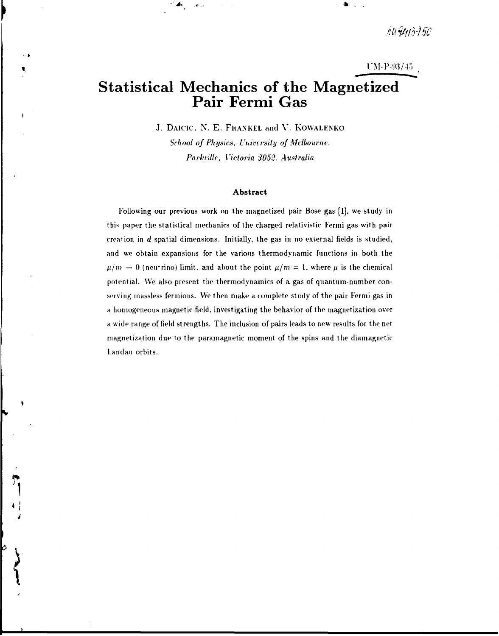AU9413-150

 $UM-P-93/45$ 

# **Statistical Mechanics of the Magnetized Pair Fermi Gas**

J. DAICIC, N. E. FhANKEL and V. KOWALENKO

*School of Physics, University of Melbourne, Parkville., Victoria 3052, Australia* 

#### **Abstract**

Following our previous work on the magnetized pair Bose gas [1], we study in this paper the statistical mechanics of the charged relativistic Fermi gas with pair creation in *d* spatial dimensions. Initially, the gas in no external fields is studied, and we obtain expansions for the various thermodynamic functions in both the  $\mu/m \to 0$  (neutrino) limit, and about the point  $\mu/m = 1$ , where  $\mu$  is the chemical potential. We also present the thermodynamics of a gas of quantum-number conserving massless fermions. We then make a complete study of the pair Fermi gas in a homogeneous magnetic field, investigating the behavior of the magnetization over a wide range of field strengths. The inclusion of pairs leads to new results for the net magnetization due to the paramagnetic moment of the spins and the diamagnetic Landau orbits.

Ò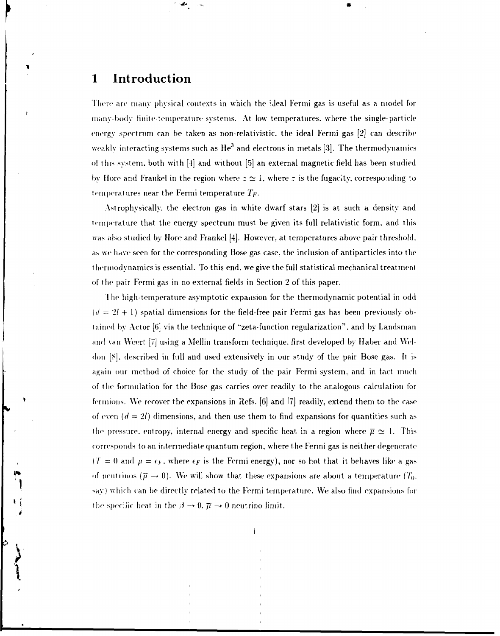# **1 Introduction**

' *•&\** 

1 here are many physical contexts in which the ideal Fermi gas is useful as a model for many-body finite-temperature systems. At low temperatures, where the single-particle energy spectrum can be taken as non-relativistic. the ideal Fermi gas [2] can describe weakly interacting systems such as  ${\rm He}^3$  and electrons in metals [3]. The thermodynamics of this system, both with [4] and without [5] an external magnetic field has been studied by Hore and Frankel in the region where  $z \approx 1$ , where z is the fugacity, corresponding to temperatures near the Fermi temperature *TF-*

Astrophysically. the electron gas in white dwarf stars [2] is at such a density and temperature that the energy spectrum must be given its full relativistic form, and this was also studied by Hore and Frankel [4]. However, at temperatures above pair threshold. as we have seen for the corresponding Bose gas case, the inclusion of antiparticles into the thermodynamics is essential. To this end, we give the full statistical mechanical treatment of the pair Fermi gas in no external fields in Section 2 of this paper.

The high-temperature asymptotic expansion for the thermodynamic potential in odd  $(d = 2l + 1)$  spatial dimensions for the field-free pair Fermi gas has been previously obtained by Actor [6] via the technique of "zeta-function regularization", and by Landsman and van Wcert [7] using a Mellin transform technique, first developed by Haber and Wel don [S], described in full and used extensively in our study of the pair Bose gas. It is again our method of choice for the study of the pair Fermi system, and in tact much of the formulation for the Bose gas carries over readily to the analogous calculation for fermions. We recover the expansions in Refs. [6] and [7] readily, extend them to the case of even  $(d = 2l)$  dimensions, and then use them to find expansions for quantities such as the pressure, entropy, internal energy and specific heat in a region where  $\bar{\mu} \simeq 1$ . This corresponds to an intermediate quantum region, where the Fermi gas is neither degenerate  $(T = 0$  and  $\mu = \epsilon_F$ , where  $\epsilon_F$  is the Fermi energy), nor so hot that it behaves like a gas of neutrinos ( $\bar{\mu} \rightarrow 0$ ). We will show that these expansions are about a temperature ( $T_0$ ) say) which can be directly related to the Fermi temperature. We also find expansions for the specific heat in the  $\overline{\beta} \to 0$ .  $\overline{\mu} \to 0$  neutrino limit.

**1**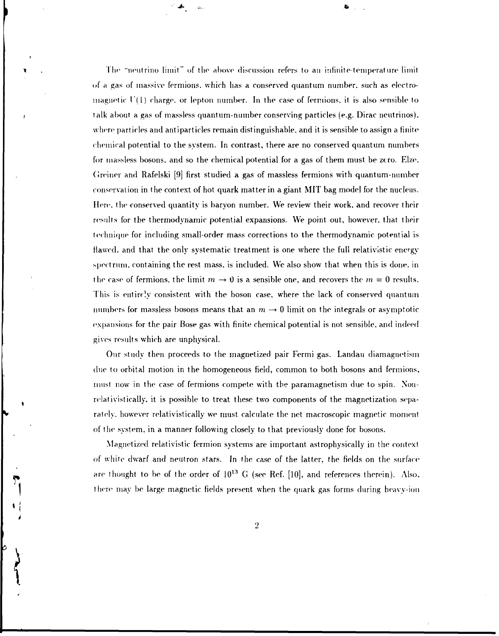1 he "neutrino limit" of the above discussion refers to an infinite-temperature limit of a gas of massive fermions. which has a conserved quantum number, such as electromagnetic  $U(1)$  charge, or lepton number. In the case of fermions, it is also sensible to talk about a gas of massless quantum-number conserving particles (e.g. Dirac neutrinos), where particles and antiparticles remain distinguishable, and it is sensible to assign a finite chemical potential to the system. In contrast, there are no conserved quantum numbers for massless bosons, and so the chemical potential for a gas of them must be zero. Elze, (Jreiner and Rafelski [9] first studied a gas of massless fermions with quantum-number conservation in the context of hot quark matter in a giant MIT bag model for the nucleus. Here, the conserved quantity is baryon number. We review their work, and recover their results for the thermodynamic potential expansions. We point out, however, that their technique for including small-order mass corrections to the thermodynamic potential is flawed, and that the only systematic treatment is one where the full relativistic energy spectrum, containing the rest mass, is included. We also show that when this is done, in the case of fermions, the limit  $m \to 0$  is a sensible one, and recovers the  $m = 0$  results. This is entirely consistent with the boson case, where the lack of conserved quantum numbers for massless bosons means that an  $m\rightarrow 0$  limit on the integrals or asymptotic expansions for the pair Rose gas with finite chemical potential is not sensible, and indeed gives results which are unphysical.

**Jt. 6** 

Our study then proceeds to the magnetized pair Fermi gas. Landau diamagnetism due to orbital motion in the homogeneous field, common to both bosons and fermions, must now in the case of fermions compete with the paramagnetism due to spin. Nonrelativist ically. it is possible to treat these two components of the magnetization separately, however relativistically we must calculate the net macroscopic magnetic moment of the system, in a manner following closely to that previously done for bosons.

Magnetized relativistic fermion systems are important astrophysically in the context of white dwarf and neutron stars. In the case of the latter, the fields on the surface are thought to be of the order of  $10^{13}$  G (see Ref. [10], and references therein). Also. there may be large magnetic fields present when the quark gas forms during heavy-ion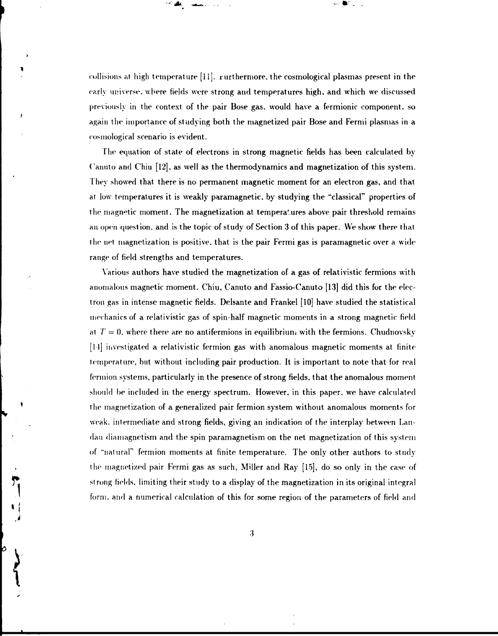collisions at high temperature [11]. rurthermore, the cosmological plasmas present in the early universe, where fields were strong and temperatures high, and which we discussed previously in the context of the pair Bose gas, would have a fermionic component, so again the importance of studying both the magnetized pair Bose and Fermi plasmas in a cosmological scenario is evident.

**\*"• l^U** *~vt^a..* **. .** 

The equation of state of electrons in strong magnetic fields has been calculated by Canuto and Chin [12], as well as the thermodynamics and magnetization of this system. They showed that there is no permanent magnetic moment for an electron gas, and that at low temperatures it is weakly paramagnetic, by studying the "classical" properties of the magnetic moment. The magnetization at tempera'ures above pair threshold remains an open question, and is the topic of study of Section 3 of this paper. We show there that the net magnetization is positive, that is the pair Fermi gas is paramagnetic over a wide range of field strengths and temperatures.

Various authors have studied the magnetization of a gas of relativistic fermions with anomalous magnetic moment. Chiu, Canuto and Fassio-Canuto [13] did this for the electron gas in intense magnetic fields. Delsante and Frankel [10] have studied the statistical mechanics of a relativistic gas of spin-half magnetic moments in a strong magnetic field at  $T = 0$ , where there are no antifermions in equilibrium with the fermions. Chudnovsky [11] investigated a relativistic fermion gas with anomalous magnetic moments at finite temperature, but without including pair production. It is important to note that for real ferniion systems, particularly in the presence of strong fields, that the anomalous moment should be included in the energy spectrum. However, in this paper, we have calculated the magnetization of a generalized pair fermion system without anomalous moments for weak, intermediate and strong fields, giving an indication of the interplay between Landau diamagnetism and the spin paramagnetism on the net magnetization of this system of "natural" fermion moments at finite temperature. The only other authors to study the magnetized pair Fermi gas as such, Miller and Ray [15], do so only in the case of strong fields, limiting their study to a display of the magnetization in its original integral form, and a numerical calculation of this for some region of the parameters of field and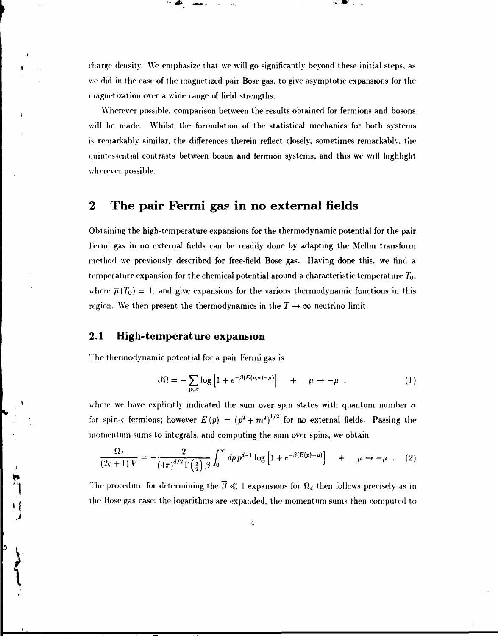charge density. We emphasize that we will go significantly beyond these initial steps, as we did in the case of the magnetized pair Bose gas. to give asymptotic expansions for the magnetization over a wide range of field strengths.

Wherever possible, comparison between the results obtained for fermions and bosons will be made. Whilst the formulation of the statistical mechanics for both systems is remarkably similar, the differences therein reflect closely, sometimes remarkably, the quintessential contrasts between boson and fermion systems, and this we will highlight wherever possible.

# **2 The pair Fermi gas in no external fields**

Obtaining the high-temperature expansions for the thermodynamic potential for the pair Fermi gas in no external fields can be readily done by adapting the Mellin transform method we previously described for free-field Bose gas. Having done this, we find a temperature expansion for the chemical potential around a characteristic temperature *T<sup>0</sup> .*  where  $\bar{\mu}(T_0) = 1$ , and give expansions for the various thermodynamic functions in this region. We then present the thermodynamics in the  $T \rightarrow \infty$  neutrino limit.

## **2.1 High-temperature expansion**

Film Night

*"'-•&* ,afc«.-

The thermodynamic potential for a pair Fermi gas is

$$
\beta \Omega = - \sum_{\mathbf{p}, \sigma} \log \left[ 1 + e^{-\beta (E(p, \sigma) - \mu)} \right] \quad + \quad \mu \to -\mu \quad , \tag{1}
$$

where we have explicitly indicated the sum over spin states with quantum number  $\sigma$ for spin- $\varsigma$  fermions; however  $E(p) = (p^2 + m^2)^{1/2}$  for no external fields. Passing the momentum sums to integrals, and computing the sum over spins, we obtain

$$
\frac{\Omega_d}{(2\varsigma+1) V} = -\frac{2}{\left(4\pi\right)^{d/2} \Gamma\left(\frac{d}{2}\right) \beta} \int_0^\infty dp \, p^{d-1} \log\left[1 + e^{-\beta \left(E(p) - \mu\right)}\right] \quad + \quad \mu \to -\mu \quad . \tag{2}
$$

The procedure for determining the  $\overline{\beta} \ll 1$  expansions for  $\Omega_d$  then follows precisely as in the Bose gas case; the logarithms are expanded, the momentum sums then computed to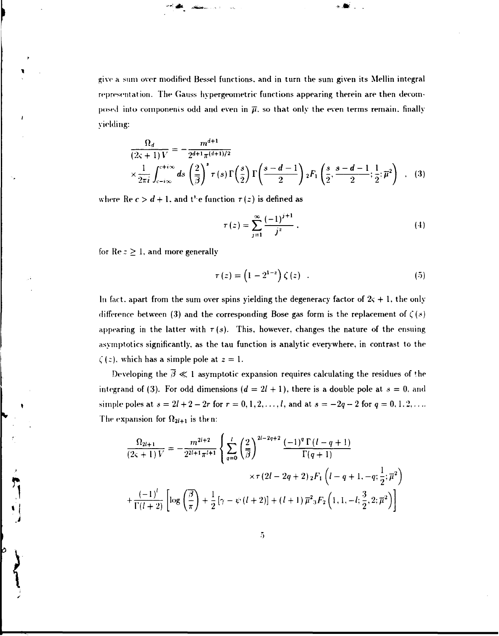give a sum over modified Bessel functions, and in turn the sum given its Mellin integral representation. The Gauss hypergeometric functions appearing therein are then decomposed into components odd and even in  $\bar{\mu}$ , so that only the even terms remain, finally yielding:

$$
\frac{\Omega_d}{(2\varsigma+1)V} = -\frac{m^{d+1}}{2^{d+1}\pi^{(d+1)/2}}\n\times \frac{1}{2\pi i} \int_{c-i\infty}^{c+i\infty} ds \left(\frac{2}{\overline{\beta}}\right)^s \tau(s) \Gamma\left(\frac{s}{2}\right) \Gamma\left(\frac{s-d-1}{2}\right) {}_2F_1\left(\frac{s}{2}, \frac{s-d-1}{2}; \frac{1}{2}; \overline{\mu}^2\right) , \quad (3)
$$

where  $\text{Re } c > d + 1$ , and t<sup>t</sup> e function  $\tau(z)$  is defined as

$$
\tau(z) = \sum_{j=1}^{\infty} \frac{(-1)^{j+1}}{j^z} \,. \tag{4}
$$

for  $\text{Re } z \geq 1$ , and more generally

b

$$
\tau(z) = \left(1 - 2^{1-z}\right)\zeta(z) \quad . \tag{5}
$$

In fact, apart from the sum over spins yielding the degeneracy factor of  $2\varsigma + 1$ , the only difference between (3) and the corresponding Bose gas form is the replacement of  $\zeta(s)$ appearing in the latter with  $\tau(s)$ . This, however, changes the nature of the ensuing asymptotics significantly, as the tau function is analytic everywhere, in contrast to the  $\zeta(z)$ , which has a simple pole at  $z = 1$ .

Developing the  $\bar{\beta} \ll 1$  asymptotic expansion requires calculating the residues of the integrand of (3). For odd dimensions  $(d = 2l + 1)$ , there is a double pole at  $s = 0$ , and simple poles at  $s = 2l + 2 - 2r$  for  $r = 0, 1, 2, ..., l$ , and at  $s = -2q - 2$  for  $q = 0, 1, 2, ...$ The expansion for  $\Omega_{2l+1}$  is then:

$$
\frac{\Omega_{2l+1}}{(2\varsigma+1)V} = -\frac{m^{2l+2}}{2^{2l+1}\pi^{l+1}} \left\{ \sum_{q=0}^{l} \left(\frac{2}{\beta}\right)^{2l-2q+2} \frac{(-1)^q \Gamma(l-q+1)}{\Gamma(q+1)} \right. \\
\left. \times \tau \left(2l - 2q + 2\right)_2 F_1 \left(l - q + 1, -q; \frac{1}{2}; \overline{\mu}^2\right) \right. \\
\left. + \frac{(-1)^l}{\Gamma(l+2)} \left[ \log \left(\frac{\overline{\beta}}{\pi}\right) + \frac{1}{2} \left[\gamma - \psi\left(l+2\right)\right] + (l+1) \overline{\mu}^2 {}_3 F_2 \left(1, 1, -l; \frac{3}{2}, 2; \overline{\mu}^2\right) \right] \right\}
$$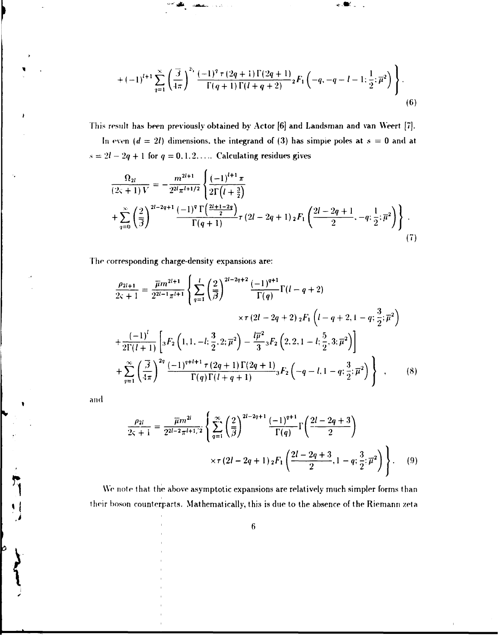$$
+(-1)^{l+1}\sum_{q=1}^{\infty}\left(\frac{\overline{3}}{4\pi}\right)^{2_{i}}\frac{(-1)^{q} \tau(2q+1)\Gamma(2q+1)}{\Gamma(q+1)\Gamma(l+q+2)}{}_{2}F_{1}\left(-q,-q-l-1;\frac{1}{2};\overline{\mu}^{2}\right)\Biggr\}.
$$
\n(6)

 $\sim 30$ 

This result has been previously obtained by Actor [6] and Landsman and van Weert [7].

در و

In even  $(d = 2l)$  dimensions, the integrand of (3) has simple poles at  $s = 0$  and at  $s = 2l - 2q + 1$  for  $q = 0, 1, 2, \ldots$  Calculating residues gives

$$
\frac{\Omega_{2l}}{(2\varsigma+1)V} = -\frac{m^{2l+1}}{2^{2l}\pi^{l+1/2}} \left\{ \frac{(-1)^{l+1}\pi}{2\Gamma(l+\frac{3}{2})} + \sum_{q=0}^{\infty} \left( \frac{2}{\beta} \right)^{2l-2q+1} \frac{(-1)^q \Gamma(\frac{2l+1-2q}{2})}{\Gamma(q+1)} \tau (2l-2q+1) {}_{2}F_1 \left( \frac{2l-2q+1}{2}, -q; \frac{1}{2}; \overline{\mu}^2 \right) \right\} \tag{7}
$$

The corresponding charge-density expansions are:

 $\overline{ }$ 

$$
\frac{\rho_{2l+1}}{2\zeta+1} = \frac{\overline{\mu}m^{2l+1}}{2^{2l-1}\pi^{l+1}} \left\{ \sum_{q=1}^{l} \left( \frac{2}{\overline{\beta}} \right)^{2l-2q+2} \frac{(-1)^{q+1}}{\Gamma(q)} \Gamma(l-q+2) \right. \\ \times \tau \left( 2l - 2q + 2 \right) {}_{2}F_{1} \left( l - q + 2, 1 - q; \frac{3}{2}; \overline{\mu}^{2} \right) \\ + \frac{(-1)^{l}}{2\Gamma(l+1)} \left[ {}_{3}F_{2} \left( 1, 1, -l; \frac{3}{2}, 2; \overline{\mu}^{2} \right) - \frac{l\overline{\mu}^{2}}{3} {}_{3}F_{2} \left( 2, 2, 1 - l; \frac{5}{2}, 3; \overline{\mu}^{2} \right) \right] \\ + \sum_{q=1}^{\infty} \left( \frac{\overline{\beta}}{4\pi} \right)^{2q} \frac{(-1)^{q+l+1} \tau (2q+1) \Gamma(2q+1)}{\Gamma(q) \Gamma(l+q+1)} {}_{3}F_{2} \left( -q - l, 1 - q; \frac{3}{2}; \overline{\mu}^{2} \right) \right\} , \qquad (8)
$$

and

i

þ

 $\lambda$ 

$$
\frac{\rho_{2l}}{2\varsigma+i} = \frac{\overline{\mu}m^{2l}}{2^{2l-2}\pi^{l+1/2}} \left\{ \sum_{q=1}^{\infty} \left( \frac{2}{\overline{\beta}} \right)^{2l-2q+1} \frac{(-1)^{q+1}}{\Gamma(q)} \Gamma\left(\frac{2l-2q+3}{2}\right) \right. \\
\left. \times \tau \left( 2l - 2q + 1 \right) {}_{2}F_{1} \left( \frac{2l-2q+3}{2}, 1-q; \frac{3}{2}; \overline{\mu}^{2} \right) \right\}.
$$
\n(9)

We note that the above asymptotic expansions are relatively much simpler forms than their boson counterparts. Mathematically, this is due to the absence of the Riemann zeta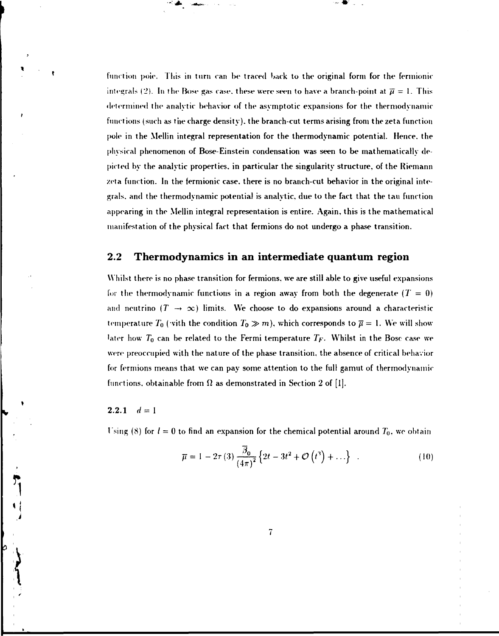function pole. This in turn can be traced back to the original form for the fermionic integrals (2). In the Bose gas case, these were seen to have a branch-point at  $\bar{\mu} = 1$ . This determined the analytic behavior of the asymptotic expansions for the thermodynamic functions (such as the charge density), the branch-cut terms arising from the zeta function pole in the Mellin integral representation for the thermodynamic potential. Hence, the physical phenomenon of Bose-Einstein condensation was seen to be mathematically depicted by the analytic properties, in particular the singularity structure, of the Riemann zeta function. In the fermionic case, there is no branch-cut behavior in the original integrals, and the thermodynamic potential is analytic, due to the fact that the tau function appearing in the Mellin integral representation is entire. Again, this is the mathematical manifestation of the physical fact that fermions do not undergo a phase transition.

### **2.2 Thermodynamics in an intermediate quantum region**

Whilst there is no phase transition for fermions, we are still able to give useful expansions for the thermodynamic functions in a region away from both the degenerate  $(T=0)$ and neutrino  $(T \to \infty)$  limits. We choose to do expansions around a characteristic temperature  $T_0$  (with the condition  $T_0\gg m$ ), which corresponds to  $\overline{\mu}=1.$  We will show- $^{\rm l}$ ater how  $T_{\rm 0}$  can be related to the Fermi temperature  $T_F.$  Whilst in the Bosc case we were preoccupied with the nature of the phase transition, the absence of critical behavior for fermions means that we can pay some attention to the full gamut of thermodynamic functions, obtainable from *Q* as demonstrated in Section 2 of [1].

#### 2.2.1  $d = 1$

**- • \*** 

Using (8) for  $l = 0$  to find an expansion for the chemical potential around  $T_0$ , we obtain

*I* 

$$
\overline{\mu} = 1 - 2\tau(3) \frac{\overline{\beta}_0}{\left(4\pi\right)^2} \left\{2t - 3t^2 + \mathcal{O}\left(t^3\right) + \ldots\right\} \quad . \tag{10}
$$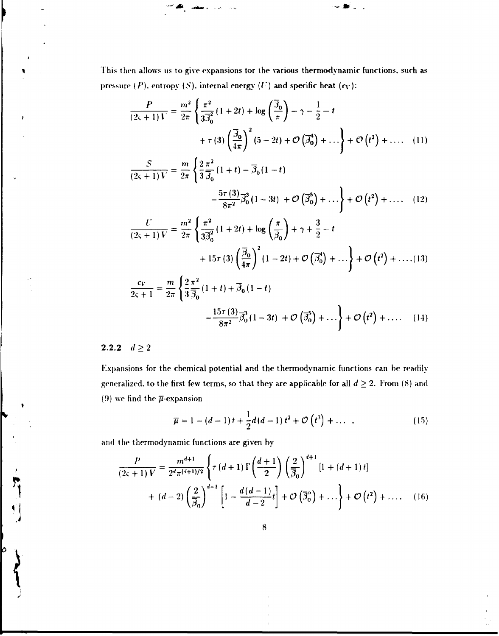This then allows us to give expansions tor the various thermodynamic functions, such as pressure  $(P)$ , entropy  $(S)$ , internal energy  $(U)$  and specific heat  $(c_V)$ :

**•' \* .-\*-= . -\*-\*:** 

$$
\frac{P}{(2\varsigma+1)V} = \frac{m^2}{2\pi} \left\{ \frac{\pi^2}{3\overline{\beta}_0^2} (1+2t) + \log\left(\frac{\overline{\beta}_0}{\pi}\right) - \gamma - \frac{1}{2} - t + \tau(3) \left(\frac{\overline{\beta}_0}{4\pi}\right)^2 (5-2t) + \mathcal{O}\left(\overline{\beta}_0^4\right) + \dots \right\} + \mathcal{O}\left(t^2\right) + \dots (11)
$$

$$
\frac{S}{(2\varsigma+1)V} = \frac{m}{2\pi} \left\{ \frac{2}{3} \frac{\pi^2}{\bar{\beta}_0} (1+t) - \bar{\beta}_0 (1-t) -\frac{5\tau (3)}{8\pi^2} \bar{\beta}_0^3 (1-3t) + \mathcal{O}(\bar{\beta}_0^5) + \dots \right\} + \mathcal{O}(t^2) + \dots (12)
$$

$$
\frac{U}{(2\varsigma+1)V} = \frac{m^2}{2\pi} \left\{ \frac{\pi^2}{3\overline{\beta}_0^2} (1+2t) + \log\left(\frac{\pi}{\overline{\beta}_0}\right) + \gamma + \frac{3}{2} - t + 15\tau (3) \left(\frac{\overline{\beta}_0}{4\pi}\right)^2 (1-2t) + \mathcal{O}\left(\overline{\beta}_0^4\right) + \dots \right\} + \mathcal{O}\left(t^2\right) + \dots (13)
$$
  

$$
\frac{c_V}{2\varsigma+1} = \frac{m}{2\pi} \left\{ \frac{2}{3} \frac{\pi^2}{\overline{\beta}_0} (1+t) + \overline{\beta}_0 (1-t) \right\}
$$

$$
-\frac{15\tau (3)}{8\pi^2}\overrightarrow{\beta_0} (1-3t) + \mathcal{O}\left(\overline{\beta}_0^5\right)+\ldots\bigg\} + \mathcal{O}\left(t^2\right)+\ldots \qquad (14)
$$

## **2.2.2**  $d \ge 2$

 $\mathbf{I}$ 

þ

Expansions for the chemical potential and the thermodynamic functions can be readily generalized, to the first few terms, so that they are applicable for all  $d \geq 2$ . From (8) and (9) we find the  $\overline{\mu}$ -expansion

$$
\overline{\mu} = 1 - (d - 1)t + \frac{1}{2}d(d - 1)t^2 + \mathcal{O}(t^3) + \dots \tag{15}
$$

and the thermodynamic functions are given by

$$
\frac{P}{(2\varsigma+1)V} = \frac{m^{d+1}}{2^d \pi^{(d+1)/2}} \left\{ \tau (d+1) \Gamma \left( \frac{d+1}{2} \right) \left( \frac{2}{\beta_0} \right)^{d+1} \left[ 1 + (d+1) t \right] \right\} + (d-2) \left( \frac{2}{\beta_0} \right)^{d-1} \left[ 1 - \frac{d(d-1)}{d-2} t \right] + \mathcal{O} \left( \overline{\beta}_0^{\alpha} \right) + \dots \right\} + \mathcal{O} \left( t^2 \right) + \dots \quad (16)
$$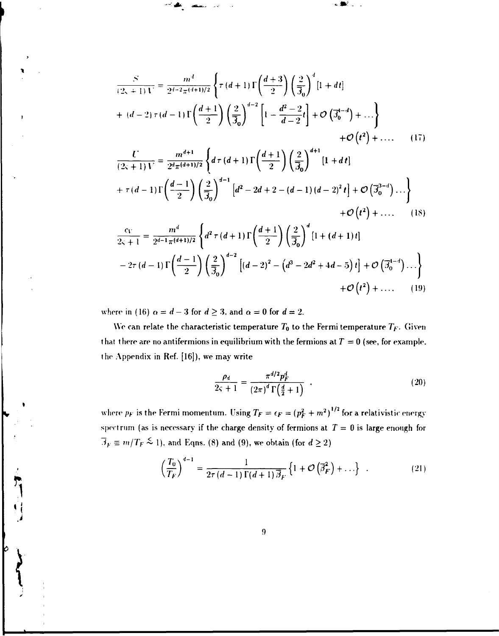$$
\frac{S}{(2s+1) \mathbf{1}^*} = \frac{m^d}{2^{d-2} \pi^{(d+1)/2}} \left\{ \tau(d+1) \Gamma\left(\frac{d+3}{2}\right) \left(\frac{2}{3_0}\right)^d \left[1+dt\right] \right\}
$$
  
+  $(d-2) \tau(d-1) \Gamma\left(\frac{d+1}{2}\right) \left(\frac{2}{3_0}\right)^{d-2} \left[1-\frac{d^2-2}{d-2}t\right] + \mathcal{O}\left(3_0^{d-d}\right) + ...\right\}$   
+  $\mathcal{O}\left(t^2\right) + ...$  (17)  

$$
\frac{U}{(2s+1) V} = \frac{m^{d+1}}{2^{d} \pi^{(d+1)/2}} \left\{ d\tau(d+1) \Gamma\left(\frac{d+1}{2}\right) \left(\frac{2}{3_0}\right)^{d+1} \left[1+dt\right] \right\}
$$
  
+  $\tau(d-1) \Gamma\left(\frac{d-1}{2}\right) \left(\frac{2}{3_0}\right)^{d-1} \left[d^2-2d+2-(d-1)(d-2)^2t\right] + \mathcal{O}\left(3_0^{3-d}\right) ... \right\}$   
+  $\mathcal{O}\left(t^2\right) + ...$  (18)  

$$
\frac{c_V}{2s+1} = \frac{m^d}{2^{d-1} \pi^{(d+1)/2}} \left\{ d^2 \tau(d+1) \Gamma\left(\frac{d+1}{2}\right) \left(\frac{2}{3_0}\right)^d \left[1+(d+1)t\right]
$$

**"-'•\* . a«fc ^ -"- -.IK.. .** 

$$
-2\tau (d-1) \Gamma \left( \frac{d-1}{2} \right) \left( \frac{2}{3_0} \right)^{d-2} \left[ (d-2)^2 - \left( d^3 - 2d^2 + 4d - 5 \right) t \right] + \mathcal{O} \left( \overline{\beta}_0^{d-4} \right) \dots \}
$$
  
+  $\mathcal{O} \left( t^2 \right) + \dots$  (19)

where in (16)  $\alpha = d - 3$  for  $d \ge 3$ , and  $\alpha = 0$  for  $d = 2$ .

**1** 

We can relate the characteristic temperature  $T_0$  to the Fermi temperature  $T_F$ . Given that there are no antifermions in equilibrium with the fermions at  $T = 0$  (see, for example, the Appendix in Ref. [16]), we may write

$$
\frac{\rho_d}{2\varsigma + 1} = \frac{\pi^{d/2} p_F^d}{(2\pi)^d \Gamma(\frac{d}{2} + 1)} \quad . \tag{20}
$$

where  $p_F$  is the Fermi momentum. Using  $T_F = \epsilon_F = (p_F^2 + m^2)^{1/2}$  for a relativistic energy spectrum (as is necessary if the charge density of fermions at *T —* 0 is large enough for  $\overline{A}_F \equiv m/T_F \stackrel{\sim}{\sim} 1$ , and Eqns. (8) and (9), we obtain (for  $d \geq 2$ )

$$
\left(\frac{T_0}{T_F}\right)^{d-1} = \frac{1}{2\tau(d-1)\Gamma(d+1)\overline{\beta}_F} \left\{1 + \mathcal{O}\left(\overline{\beta}_F^2\right) + \ldots\right\} \quad . \tag{21}
$$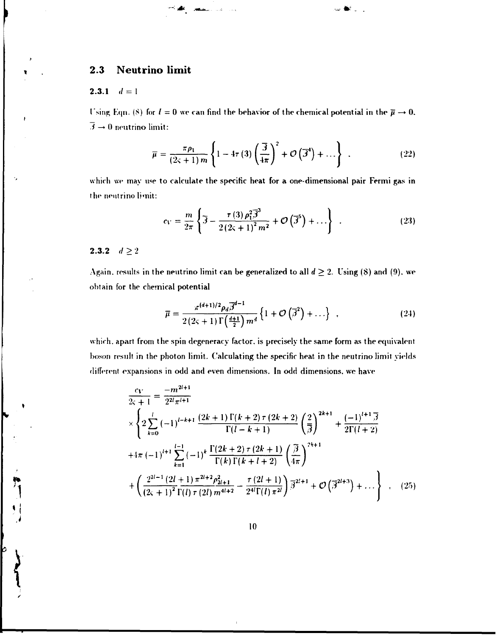# **2.3 Neutrino limit**

#### **2.3.1**  $d = 1$

Using Eqn. (8) for  $l = 0$  we can find the behavior of the chemical potential in the  $\overline{\mu} \rightarrow 0$ .  $\overline{\beta} \rightarrow 0$  neutrino limit:

$$
\overline{\mu} = \frac{\pi \rho_1}{(2\varsigma + 1) m} \left\{ 1 - 4\tau \left( 3 \right) \left( \frac{\overline{\beta}}{4\pi} \right)^2 + \mathcal{O} \left( \overline{\beta}^4 \right) + \dots \right\} \quad . \tag{22}
$$

na ∰i j

which we may use to calculate the specific heat for a one-dimensional pair Fermi gas in the neutrino limit:

$$
c_V = \frac{m}{2\pi} \left\{ \overline{\beta} - \frac{\tau (3)\,\rho_1^2 \overline{\beta}^3}{2\left(2\varsigma + 1\right)^2 m^2} + \mathcal{O}\left(\overline{\beta}^5\right) + \ldots \right\} \quad . \tag{23}
$$

## **2.3.2**  $d \ge 2$

**l i** 

 $\Big\}$ 

 $\int$ 

 $\overline{\mathbf{r}}$ 

**I** 

Again, results in the neutrino limit can be generalized to all  $d \geq 2$ . Using (8) and (9), we obtain for the chemical potential

$$
\overline{\mu} = \frac{\pi^{(d+1)/2} \rho_d \overline{\beta}^{d-1}}{2(2\varsigma + 1) \Gamma\left(\frac{d+1}{2}\right) m^d} \left\{ 1 + \mathcal{O}\left(\overline{\beta}^2\right) + \ldots \right\} , \qquad (24)
$$

which, apart from the spin degeneracy factor, is precisely the same form as the equivalent boson result in the photon limit. Calculating the specific heat in the neutrino limit yields different expansions in odd and even dimensions. In odd dimensions, we have

$$
\frac{c_V}{2\zeta+1} = \frac{-m^{2l+1}}{2^{2l}\pi^{l+1}}\n\times\n\left\{\n2\sum_{k=0}^{l} (-1)^{l-k+1} \frac{(2k+1)\Gamma(k+2)\tau(2k+2)}{\Gamma(l-k+1)} \left(\frac{2}{\beta}\right)^{2k+1} + \frac{(-1)^{l+1}\overline{\beta}}{2\Gamma(l+2)}\n+4\pi (-1)^{l+1}\sum_{k=1}^{l-1} (-1)^k \frac{\Gamma(2k+2)\tau(2k+1)}{\Gamma(k)\Gamma(k+l+2)} \left(\frac{\overline{\beta}}{4\pi}\right)^{2k+1}\n+ \left(\frac{2^{2l-1}(2l+1)\pi^{2l+2}\rho_{2l+1}^2}{(2\zeta+1)^2\Gamma(l)\tau(2l)\,m^{4l+2}} - \frac{\tau(2l+1)}{2^{4l}\Gamma(l)\,\pi^{2l}}\right)\overline{\beta}^{2l+1} + \mathcal{O}\left(\overline{\beta}^{2l+3}\right) + \dots\n\right\}\n\tag{25}
$$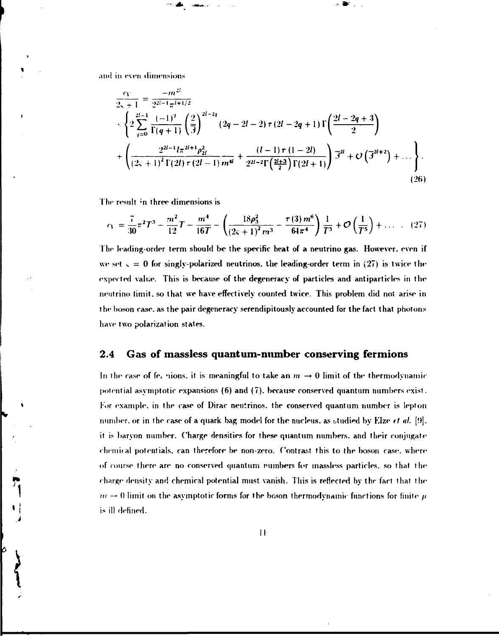and in even dimensions

°' a

$$
\frac{c_V}{2s+1} = \frac{-m^{2l}}{2^{2l-1}\pi^{l+1/2}}
$$
\n
$$
\times \left\{ 2\sum_{q=0}^{2l-1} \frac{(-1)^q}{\Gamma(q+1)} \left( \frac{2}{3} \right)^{2l-2q} (2q-2l-2) \tau (2l-2q+1) \Gamma\left(\frac{2l-2q+3}{2}\right) + \left( \frac{2^{2l-1}l\pi^{2l+1}\rho_{2l}^2}{(2s+1)^2 \Gamma(2l)\tau (2l-1) m^4} + \frac{(l-1)\tau (1-2l)}{2^{2l-2} \Gamma\left(\frac{2l+3}{2}\right) \Gamma(2l+1)} \right) \overline{\beta}^{2l} + O\left(\overline{\beta}^{2l+2}\right) + \dots \right\}.
$$
\n(26)

 $\bullet$ 

The result in three dimensions is

$$
c_1 = \frac{7}{30}\pi^2 T^3 - \frac{m^2}{12}T - \frac{m^4}{16T} - \left(\frac{18\rho_3^2}{\left(2\varsigma + 1\right)^2 m^3} - \frac{\tau(3) m^6}{64\pi^4}\right) \frac{1}{T^3} + \mathcal{O}\left(\frac{1}{T^5}\right) + \dots \quad . \quad (27)
$$

The leading-order term should be the specific heat of a neutrino gas. However, even if we set  $s = 0$  for singly-polarized neutrinos, the leading-order term in (27) is twice the expected value. This is because of the degeneracy of particles and antiparticles in the neutrino limit, so that we have effectively counted twice. This problem did not arise in the boson case, as the pair degeneracy serendipitously accounted for the fact that photons have two polarization states.

## **2.4 Gas of massless quantum-number conserving fermions**

In the case of fe. nions, it is meaningful to take an  $m \rightarrow 0$  limit of the thermodynamic potential asymptotic expansions (6) and (7). because conserved quantum numbers exist. For example, in the case of Dirac neutrinos, the conserved quantum number is Iepton number, or in the case of a quark bag model for the nucleus, as studied by Elze *et al.* [9]. it is barvon number. Charge densities for these quantum numbers, and their conjugate chemical potentials, can therefore be non-zero. Contrast this to the boson case, where of course there are no conserved quantum rumbers for massless particles, so that the charge density and chemical potential must vanish. This is reflected by the fact that the  $m \rightarrow 0$  limit on the asymptotic forms for the boson thermodynamic functions for finite  $\mu$ is ill defined.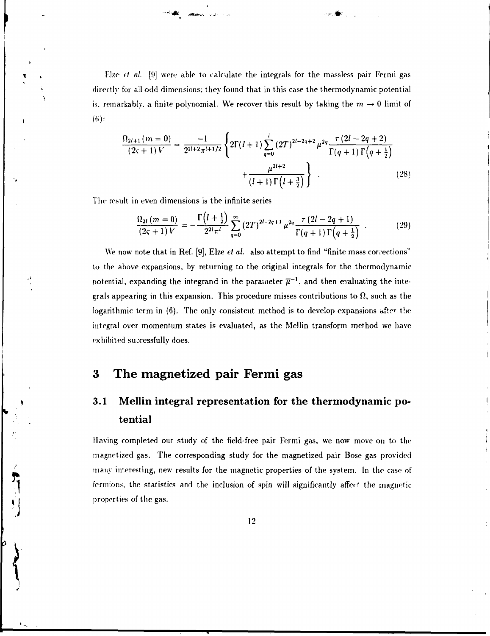Elze *ft al.* [9] were able to calculate the integrals for the massless pair Fermi gas directly for all odd dimensions; they found that in this case the thermodynamic potential is, remarkably, a finite polynomial. We recover this result by taking the  $m\rightarrow 0$  limit of (6):

**' )•\* • -r\*>. »•»••,-,** \* . \* • . .

$$
\frac{\Omega_{2l+1}(m=0)}{(2\varsigma+1)V} = \frac{-1}{2^{2l+2}\pi^{l+1/2}} \left\{ 2\Gamma(l+1) \sum_{q=0}^{l} (2T)^{2l-2q+2} \mu^{2q} \frac{\tau(2l-2q+2)}{\Gamma(q+1)\Gamma(q+\frac{1}{2})} + \frac{\mu^{2l+2}}{(l+1)\Gamma(l+\frac{3}{2})} \right\} .
$$
\n(28)

The result in even dimensions is the infinite series

$$
\frac{\Omega_{2l}(m=0)}{(2\varsigma+1)V} = -\frac{\Gamma(l+\frac{1}{2})}{2^{2l}\pi^l} \sum_{q=0}^{\infty} (2T)^{2l-2q+1} \mu^{2q} \frac{\tau(2l-2q+1)}{\Gamma(q+1)\Gamma(q+\frac{1}{2})} \tag{29}
$$

We now note that in Ref. [9], Elze *et al.* also attempt to find "finite mass corrections" to the above expansions, by returning to the original integrals for the thermodynamic potential, expanding the integrand in the parameter  $\overline{\mu}^{-1}$ , and then evaluating the integrals appearing in this expansion. This procedure misses contributions to  $\Omega$ , such as the logarithmic term in (6). The only consistent method is to develop expansions after the integral over momentum states is evaluated, as the Mellin transform method we have exhibited successfully does.

## **3 The magnetized pair Fermi gas**

# 3.1 Mellin integral representation for the thermodynamic potential

Having completed our study of the field-free pair Fermi gas, we now move on to the magnetized gas. The corresponding study for the magnetized pair Bose gas provided many interesting, new results for the magnetic properties of the system. In the case of fermions, the statistics and the inclusion of spin will significantly affect the magneticproperties of the gas.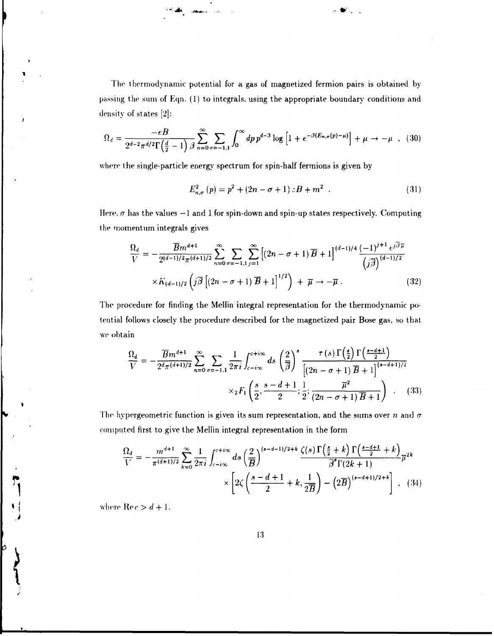The thermodynamic potential for a gas of magnetized fermion pairs is obtained bypassing the sum of Eqn. (1) to integrals, using the appropriate boundary conditions and density of states [2l:

**" "•' l«V ,\*\*\*...'. \* \*t f** 

$$
\Omega_d = \frac{-eB}{2^{d-2}\pi^{d/2}\Gamma(\frac{d}{2}-1)} \sum_{n=0}^{\infty} \sum_{\sigma=-1,1}^{\infty} \int_0^{\infty} dp \, p^{d-3} \log \left[1 + e^{-\beta(E_{n,\sigma}(p)-\mu)}\right] + \mu \to -\mu \quad , \quad (30)
$$

where the single-particle energy spectrum for spin-half fermions is given by

$$
E_{n,\sigma}^{2}(p) = p^{2} + (2n - \sigma + 1) cB + m^{2} . \qquad (31)
$$

Here,  $\sigma$  has the values  $-1$  and 1 for spin-down and spin-up states respectively. Computing the momentum integrals gives

$$
\frac{\Omega_d}{V} = -\frac{\overline{B}m^{d+1}}{2^{(d-1)/2}\pi^{(d+1)/2}} \sum_{n=0}^{\infty} \sum_{\sigma=-1,1} \sum_{j=1}^{\infty} \left[ (2n - \sigma + 1) \overline{B} + 1 \right]^{(d-1)/4} \frac{(-1)^{j+1} e^{j\overline{\beta}\overline{\mu}}}{(j\overline{\beta})^{(d-1)/2}} \times K_{(d-1)/2} \left( j\overline{\beta} \left[ (2n - \sigma + 1) \overline{B} + 1 \right]^{1/2} \right) + \overline{\mu} \to -\overline{\mu} . \tag{32}
$$

The procedure for finding the Mellin integral representation for the thermodynamic potential follows closely the procedure described for the magnetized pair Bose gas, so that we obtain

$$
\frac{\Omega_d}{V} = -\frac{\overline{B}m^{d+1}}{2^d \pi^{(d+1)/2}} \sum_{n=0}^{\infty} \sum_{\sigma=-1,1} \frac{1}{2\pi i} \int_{c-i\infty}^{c+i\infty} ds \left(\frac{2}{\overline{\beta}}\right)^s \frac{\tau(s) \Gamma\left(\frac{s}{2}\right) \Gamma\left(\frac{s-d+1}{2}\right)}{\left[(2n-\sigma+1)\overline{B}+1\right]^{(s-d+1)/2}}
$$

$$
\times {}_2F_1\left(\frac{s}{2}, \frac{s-d+1}{2}; \frac{1}{2}; \frac{\overline{\mu}^2}{(2n-\sigma+1)\overline{B}+1}\right) \qquad (33)
$$

The hypergeometric function is given its sum representation, and the sums over n and  $\sigma$ computed first to give the Mellin integral representation in the form

$$
\frac{\Omega_d}{V} = -\frac{m^{d+1}}{\pi^{(d+1)/2}} \sum_{k=0}^{\infty} \frac{1}{2\pi i} \int_{c-i\infty}^{c+i\infty} ds \left(\frac{2}{\overline{B}}\right)^{(s-d-1)/2+k} \frac{\zeta(s) \Gamma\left(\frac{s}{2}+k\right) \Gamma\left(\frac{s-d+1}{2}+k\right)}{\overline{\beta}^s \Gamma(2k+1)} \overline{\mu}^{2k} \times \left[2\zeta\left(\frac{s-d+1}{2}+k,\frac{1}{2\overline{B}}\right) - \left(2\overline{B}\right)^{(s-d+1)/2+k}\right], \quad (34)
$$

where  $\text{Re } c > d + 1$ .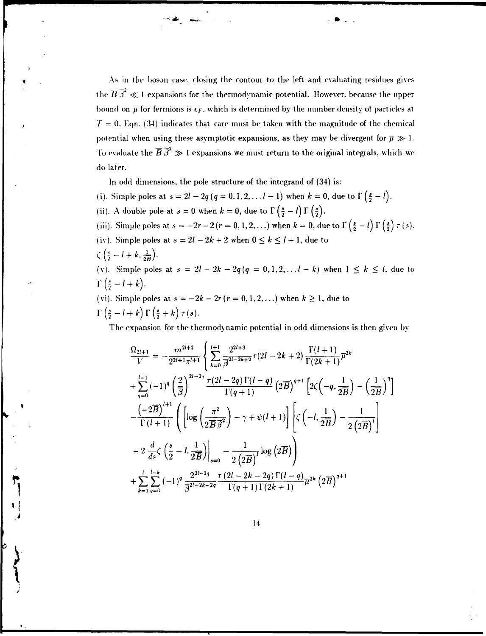As in the boson case, closing the contour to the left and evaluating residues gives the  $\overline{B} \overline{\beta}^2 \ll 1$  expansions for the thermodynamic potential. However, because the upper bound on  $\mu$  for fermions is  $\epsilon_F$ , which is determined by the number density of particles at  $T = 0$ . Eqn. (34) indicates that care must be taken with the magnitude of the chemical potential when using these asymptotic expansions, as they may be divergent for  $\overline{\mu} \gg 1$ . To evaluate the  $\overline{B} \overline{\beta}^2 \gg 1$  expansions we must return to the original integrals, which we do later.

In odd dimensions, the pole structure of the integrand of (34) is:

**'•'• jf e .«&»#...** 

- (i). Simple poles at  $s = 2l 2q (q = 0, 1, 2, ... l 1)$  when  $k = 0$ , due to  $\Gamma(\frac{s}{2} l)$ . (ii). A double pole at  $s = 0$  when  $k = 0$ , due to  $\Gamma\left(\frac{s}{2} - l\right) \Gamma\left(\frac{s}{2}\right)$ . (iii). Simple poles at  $s = -2r-2(r = 0, 1, 2, ...)$  when  $k = 0$ , due to  $\Gamma\left(\frac{s}{2} - l\right) \Gamma\left(\frac{s}{2}\right) \tau(s)$ . (iv). Simple poles at  $s = 2l - 2k + 2$  when  $0 \le k \le l + 1$ , due to
- $\zeta\left(\frac{s}{2}-l+k,\frac{1}{2B}\right).$

*\* 

(v). Simple poles at  $s = 2l - 2k - 2q(q = 0, 1, 2, \ldots, l - k)$  when  $1 \leq k \leq l$ , due to  $\Gamma\left(\frac{s}{2} - l + k\right)$ .

(vi). Simple poles at  $s = -2k - 2r$  ( $r = 0, 1, 2, ...$ ) when  $k \ge 1$ , due to  $\Gamma\left(\frac{s}{2} - l + k\right)\Gamma\left(\frac{s}{2} + k\right)\tau(s).$ 

The expansion for the thermodynamic potential in odd dimensions is then given by

$$
\frac{\Omega_{2l+1}}{V} = -\frac{m^{2l+2}}{2^{2l+1}\pi^{l+1}} \left\{ \sum_{k=0}^{l+1} \frac{2^{2l+3}}{\beta^{2l-2k+2}} \tau(2l-2k+2) \frac{\Gamma(l+1)}{\Gamma(2k+1)} \overline{\mu}^{2k} \right.\n+ \sum_{q=0}^{l-1} (-1)^q \left(\frac{2}{\beta}\right)^{2l-2q} \frac{\tau(2l-2q)\Gamma(l-q)}{\Gamma(q+1)} \left(2\overline{\beta}\right)^{q+1} \left[2\zeta\left(-q,\frac{1}{2\overline{B}}\right) - \left(\frac{1}{2\overline{B}}\right)^q\right]\n- \frac{\left(-2\overline{B}\right)^{l+1}}{\Gamma(l+1)} \left(\left[\log\left(\frac{\pi^2}{2\overline{B}\,\overline{\beta}^2}\right) - \gamma + \psi(l+1)\right] \left[\zeta\left(-l,\frac{1}{2\overline{B}}\right) - \frac{1}{2\left(2\overline{B}\right)^l}\right] \right.\n+ 2 \frac{d}{ds}\zeta \left(\frac{s}{2} - l, \frac{1}{2\overline{B}}\right)\Big|_{s=0} - \frac{1}{2\left(2\overline{B}\right)^l} \log\left(2\overline{B}\right)\right)\n+ \sum_{k=1}^{l} \sum_{q=0}^{l-k} (-1)^q \frac{2^{2l-2q}}{\overline{\beta}^{2l-2k-2q}} \frac{\tau(2l-2k-2q)\Gamma(l-q)}{\Gamma(q+1)\Gamma(2k+1)} \overline{\mu}^{2k} \left(2\overline{B}\right)^{q+1}
$$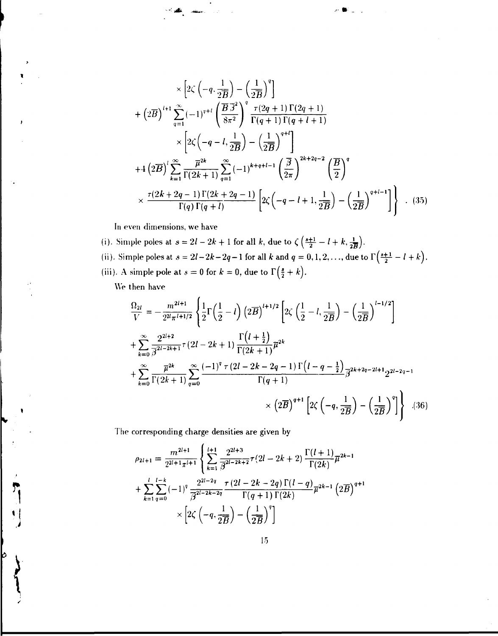$$
\times \left[2\zeta \left(-q, \frac{1}{2\overline{B}}\right) - \left(\frac{1}{2\overline{B}}\right)^{q}\right]
$$
  
+ 
$$
\left(2\overline{B}\right)^{l+1} \sum_{q=1}^{\infty} (-1)^{q+l} \left(\frac{\overline{B}\cdot\overline{J}^{2}}{8\pi^{2}}\right)^{q} \frac{\tau(2q+1)\Gamma(2q+1)}{\Gamma(q+1)\Gamma(q+l+1)}
$$
  

$$
\times \left[2\zeta\left(-q-l, \frac{1}{2\overline{B}}\right) - \left(\frac{1}{2\overline{B}}\right)^{q+l}\right]
$$
  
+ 
$$
4\left(2\overline{B}\right)^{l} \sum_{k=1}^{\infty} \frac{\overline{\mu}^{2k}}{\Gamma(2k+1)} \sum_{q=1}^{\infty} (-1)^{k+q+l-1} \left(\frac{\overline{B}}{2\pi}\right)^{2k+2q-2} \left(\frac{\overline{B}}{2}\right)^{q}
$$
  

$$
\times \frac{\tau(2k+2q-1)\Gamma(2k+2q-1)}{\Gamma(q)\Gamma(q+l)} \left[2\zeta\left(-q-l+1, \frac{1}{2\overline{B}}\right) - \left(\frac{1}{2\overline{B}}\right)^{q+l-1}\right]\right] . \quad (35)
$$

*.-.- m* 

In even dimensions, we have

 $-$ 

(i). Simple poles at  $s = 2l - 2k + 1$  for all k, due to  $\zeta \left( \frac{s+1}{2} - l + k, \frac{1}{2} \right)$ . (ii). Simple poles at  $s = 2l - 2k - 2q - 1$  for all k and  $q = 0, 1, 2, \ldots$ , due to  $\Gamma(\frac{s+1}{2} - l + k)$ . (iii). A simple pole at  $s = 0$  for  $k = 0$ , due to  $\Gamma(\frac{s}{2} + k)$ .

We then have

þ

$$
\frac{\Omega_{2l}}{V} = -\frac{m^{2l+1}}{2^{2l}\pi^{l+1/2}} \left\{ \frac{1}{2} \Gamma\left(\frac{1}{2} - l\right) \left(2\overline{B}\right)^{l+1/2} \left[2\zeta\left(\frac{1}{2} - l, \frac{1}{2\overline{B}}\right) - \left(\frac{1}{2\overline{B}}\right)^{l-1/2}\right] \right\}
$$
  
+ 
$$
\sum_{k=0}^{\infty} \frac{2^{2l+2}}{\overline{\beta}^{2l-2k+1}} \tau(2l-2k+1) \frac{\Gamma(l+\frac{1}{2})}{\Gamma(2k+1)} \overline{\mu}^{2k}
$$
  
+ 
$$
\sum_{k=0}^{\infty} \frac{\overline{\mu}^{2k}}{\Gamma(2k+1)} \sum_{q=0}^{\infty} \frac{(-1)^{q} \tau(2l-2k-2q-1) \Gamma(l-q-\frac{1}{2})}{\Gamma(q+1)} \overline{\beta}^{2k+2q-2l+1} 2^{2l-2q-1}
$$
  
× 
$$
\left(2\overline{B}\right)^{q+1} \left[2\zeta\left(-q, \frac{1}{2\overline{B}}\right) - \left(\frac{1}{2\overline{B}}\right)^{q}\right] \right\} . (36)
$$

The corresponding charge densities are given by

$$
\rho_{2l+1} = \frac{m^{2l+1}}{2^{2l+1}\pi^{l+1}} \left\{ \sum_{k=1}^{l+1} \frac{2^{2l+3}}{\beta^{2l-2k+2}} \tau(2l-2k+2) \frac{\Gamma(l+1)}{\Gamma(2k)} \overline{\mu}^{2k-1} + \sum_{k=1}^{l} \sum_{q=0}^{l-k} (-1)^q \frac{2^{2l-2q}}{\beta^{2l-2k-2q}} \frac{\tau(2l-2k-2q)\Gamma(l-q)}{\Gamma(q+1)\Gamma(2k)} \overline{\mu}^{2k-1} (2\overline{B})^{q+1} + \times \left[2\zeta\left(-q, \frac{1}{2\overline{B}}\right) - \left(\frac{1}{2\overline{B}}\right)^q\right]
$$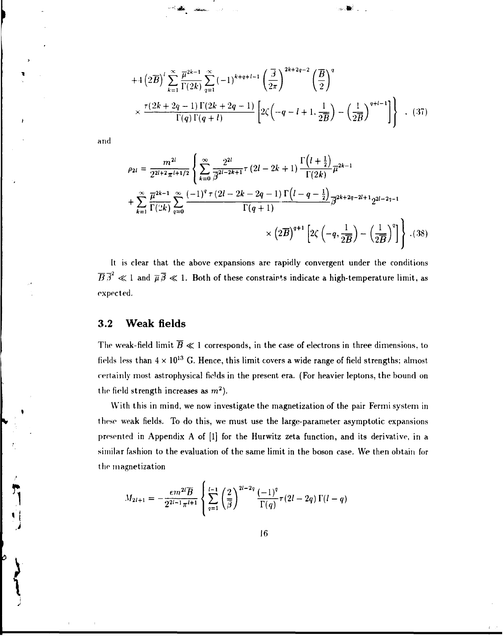$$
+4\left(2\overline{B}\right)^{l}\sum_{k=1}^{\infty}\frac{\overline{\mu}^{2k-1}}{\Gamma(2k)}\sum_{q=1}^{\infty}\left(-1\right)^{k+q+l-1}\left(\frac{\overline{\beta}}{2\pi}\right)^{2k+2q-2}\left(\frac{\overline{B}}{2}\right)^{q}
$$

$$
\times\frac{\tau(2k+2q-1)\Gamma(2k+2q-1)}{\Gamma(q)\Gamma(q+l)}\left[2\zeta\left(-q-l+1,\frac{1}{2\overline{B}}\right)-\left(\frac{1}{2\overline{B}}\right)^{q+l-1}\right]\right\} \quad . \tag{37}
$$

and

$$
\rho_{2l} = \frac{m^{2l}}{2^{2l+2}\pi^{l+1/2}} \left\{ \sum_{k=0}^{\infty} \frac{2^{2l}}{\beta^{2l-2k+1}} \tau (2l - 2k + 1) \frac{\Gamma(l + \frac{1}{2})}{\Gamma(2k)} \overline{\mu}^{2k-1} + \sum_{k=1}^{\infty} \frac{\overline{\mu}^{2k-1}}{\Gamma(2k)} \sum_{q=0}^{\infty} \frac{(-1)^q \tau (2l - 2k - 2q - 1) \Gamma(l - q - \frac{1}{2})}{\Gamma(q + 1)} \overline{\beta}^{2k+2q-2l+1} 2^{2l-2q-1} \times \left( 2\overline{B} \right)^{q+1} \left[ 2\zeta \left( -q, \frac{1}{2\overline{B}} \right) - \left( \frac{1}{2\overline{B}} \right)^q \right] \right\} . (38)
$$

It is clear that the above expansions are rapidly convergent under the conditions  $\overline{B} \overline{\beta}^2 \ll 1$  and  $\overline{\mu} \overline{\beta} \ll 1$ . Both of these constraints indicate a high-temperature limit, as expected.

### 3.2 Weak fields

The weak-field limit  $\overline{B} \ll 1$  corresponds, in the case of electrons in three dimensions, to fields less than 4  $\times$  10 $^{13}$  G. Hence, this limit covers a wide range of field strengths; almost certainly most astrophysical fields in the present era. (For heavier leptons, the bound on the field strength increases as  $m^2$ ).

With this in mind, we now investigate the magnetization of the pair Fermi system in these weak fields. To do this, we must use the large-parameter asymptotic expansions presented in Appendix A of [1] for the Hurwitz zeta function, and its derivative, in a similar fashion to the evaluation of the same limit in the boson case. We then obtain for the magnetization

$$
M_{2l+1} = -\frac{em^{2l}\overline{B}}{2^{2l-1}\pi^{l+1}} \left\{ \sum_{q=1}^{l-1} \left( \frac{2}{\overline{\beta}} \right)^{2l-2q} \frac{(-1)^q}{\Gamma(q)} \tau(2l-2q) \Gamma(l-q) \right\}
$$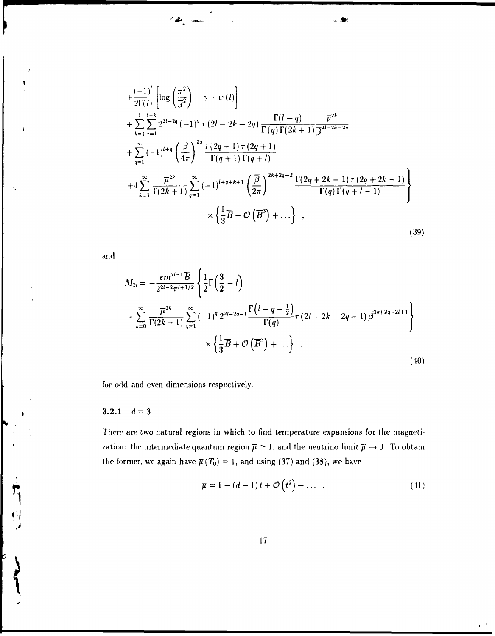$$
+\frac{(-1)^{l}}{2\Gamma(l)}\left[\log\left(\frac{\pi^{2}}{3^{2}}\right)-\gamma+\psi(l)\right] + \sum_{k=1}^{l}\sum_{q=1}^{l-k}2^{2l-2q}(-1)^{q}\tau(2l-2k-2q)\frac{\Gamma(l-q)}{\Gamma(q)\Gamma(2k+1)}\frac{\overline{\mu}^{2k}}{\overline{\beta}^{2l-2k-2q}} + \sum_{q=1}^{\infty}(-1)^{l+q}\left(\frac{\overline{\beta}}{4\pi}\right)^{2q}\frac{\psi(2q+1)\tau(2q+1)}{\Gamma(q+1)\Gamma(q+l)} + 4\sum_{k=1}^{\infty}\frac{\overline{\mu}^{2k}}{\Gamma(2k+1)}\sum_{q=1}^{\infty}(-1)^{l+q+k+1}\left(\frac{\overline{\beta}}{2\pi}\right)^{2k+2q-2}\frac{\Gamma(2q+2k-1)\tau(2q+2k-1)}{\Gamma(q)\Gamma(q+l-1)} \times \left\{\frac{1}{3}\overline{B}+\mathcal{O}(\overline{B}^{3})+\ldots\right\},
$$
\n(39)

••> \* **-.»'- -**

and

$$
M_{2l} = -\frac{\epsilon m^{2l-1} \overline{B}}{2^{2l-2} \pi^{l+1/2}} \left\{ \frac{1}{2} \Gamma \left( \frac{3}{2} - l \right) + \sum_{k=0}^{\infty} \frac{\overline{\mu}^{2k}}{\Gamma(2k+1)} \sum_{q=1}^{\infty} (-1)^q 2^{2l-2q-1} \frac{\Gamma \left( l-q-\frac{1}{2} \right)}{\Gamma(q)} \tau \left( 2l - 2k - 2q - 1 \right) \overline{\beta}^{2k+2q-2l+1} \right\} \times \left\{ \frac{1}{3} \overline{B} + \mathcal{O} \left( \overline{B}^3 \right) + \ldots \right\} , \tag{40}
$$

for odd and even dimensions respectively.

## 3.2.1  $d=3$

There are two natural regions in which to find temperature expansions for the magnetization: the intermediate quantum region  $\overline{\mu} \simeq 1$ , and the neutrino limit  $\overline{\mu} \to 0$ . To obtain the former, we again have  $\overline{\mu}(T_0) = 1$ , and using (37) and (38), we have

$$
\overline{\mu} = 1 - (d - 1)t + \mathcal{O}(t^2) + \dots \tag{41}
$$

 $t = \frac{1}{2}$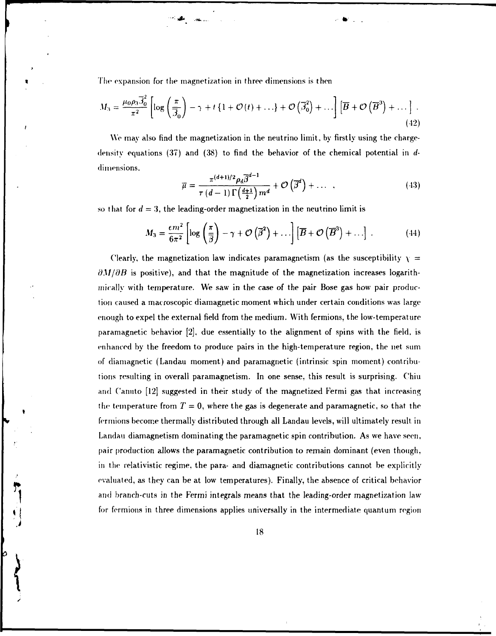The expansion for the magnetization in three dimensions is then

$$
M_3 = \frac{\mu_0 \rho_3 \overline{\mathfrak{J}}_0^2}{\pi^2} \left[ \log \left( \frac{\pi}{\overline{\mathfrak{J}}_0} \right) - \gamma + t \left\{ 1 + \mathcal{O}(t) + \ldots \right\} + \mathcal{O}\left( \overline{\mathfrak{J}}_0^2 \right) + \ldots \right] \left[ \overline{B} + \mathcal{O}\left( \overline{B}^3 \right) + \ldots \right] \,. \tag{42}
$$

We may also find the magnetization in the neutrino limit, by firstly using the chargedensity equations (37) and (38) to find the behavior of the chemical potential in *d*dimensions.

$$
\overline{\mu} = \frac{\pi^{(d+1)/2} \rho_d \overline{\beta}^{d-1}}{\tau (d-1) \Gamma\left(\frac{d+1}{2}\right) m^d} + \mathcal{O}\left(\overline{\beta}^d\right) + \dots \quad , \tag{43}
$$

so that for  $d = 3$ , the leading-order magnetization in the neutrino limit is

$$
M_3 = \frac{\epsilon m^2}{6\pi^2} \left[ \log \left( \frac{\pi}{\beta} \right) - \gamma + \mathcal{O} \left( \overline{\beta}^2 \right) + \ldots \right] \left[ \overline{B} + \mathcal{O} \left( \overline{B}^3 \right) + \ldots \right] \,. \tag{44}
$$

Clearly, the magnetization law indicates paramagnetism (as the susceptibility  $\gamma =$  $\partial M/\partial B$  is positive), and that the magnitude of the magnetization increases logarithmically with temperature. We saw in the case of the pair Bose gas how pair production caused a macroscopic diamagnetic moment which under certain conditions was large enough to expel the external field from the medium. With fermions, the low-temperature paramagnetic behavior [2], due essentially to the alignment of spins with the field, is enhanced by the freedom to produce pairs in the high-temperature region, the net sum of diamagnetic (Landau moment) and paramagnetic (intrinsic spin moment) contributions resulting in overall paramagnetism. In one sense, this result is surprising. Chiu and C'anuto [12] suggested in their study of the magnetized Fermi gas that increasing the temperature from  $T = 0$ , where the gas is degenerate and paramagnetic, so that the fermions become thermally distributed through all Landau levels, will ultimately result in Landau diamagnetism dominating the paramagnetic spin contribution. As we have seen, pair production allows the paramagnetic contribution to remain dominant (even though, in the relativistic regime, the para- and diamagnetic contributions cannot be explicitly evaluated, as they can be at low temperatures). Finally, the absence of critical behavior and branch-cuts in the Fermi integrals means that the leading-order magnetization law for fermions in three dimensions applies universally in the intermediate quantum region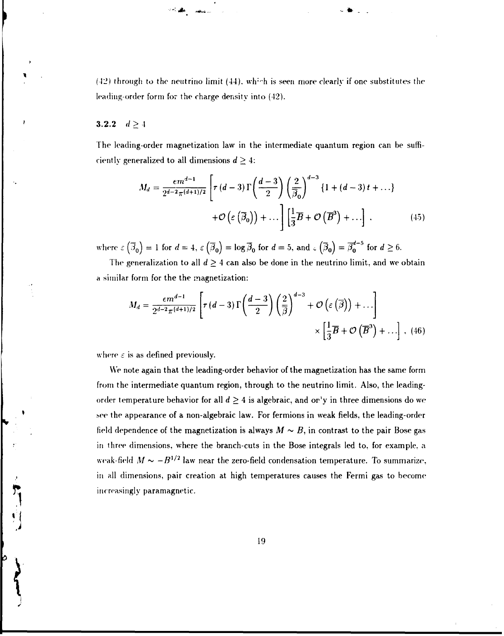(42) through to the neutrino limit (44), which is seen more clearly if one substitutes the leading-order form for the charge density into (42).

•w .\* .

#### 3.2.2  $d \ge 4$

The leading-order magnetization law in the intermediate quantum region can be sufficiently generalized to all dimensions  $d \geq 4$ :

$$
M_d = \frac{\epsilon m^{d-1}}{2^{d-2} \pi^{(d+1)/2}} \left[ \tau (d-3) \Gamma \left( \frac{d-3}{2} \right) \left( \frac{2}{\overline{\beta}_0} \right)^{d-3} \{1 + (d-3) t + \ldots \} + \mathcal{O} \left( \varepsilon (\overline{\beta}_0) \right) + \ldots \right] \left[ \frac{1}{3} \overline{B} + \mathcal{O} \left( \overline{B}^3 \right) + \ldots \right], \tag{45}
$$

where  $\epsilon\left(\overline{\beta}_0\right) = 1$  for  $d = 4$ ,  $\epsilon\left(\overline{\beta}_0\right) = \log \overline{\beta}_0$  for  $d = 5$ , and  $\epsilon\left(\overline{\beta}_0\right) = \overline{\beta}_0^{d-5}$  for  $d \ge 6$ .

The generalization to all  $d \geq 4$  can also be done in the neutrino limit, and we obtain a similar form for the the magnetization:

$$
M_d = \frac{\epsilon m^{d-1}}{2^{d-2} \pi^{(d+1)/2}} \left[ \tau (d-3) \Gamma \left( \frac{d-3}{2} \right) \left( \frac{2}{\overline{\beta}} \right)^{d-3} + \mathcal{O} \left( \varepsilon (\overline{\beta}) \right) + \ldots \right] \times \left[ \frac{1}{3} \overline{B} + \mathcal{O} \left( \overline{B}^3 \right) + \ldots \right], \tag{46}
$$

where  $\varepsilon$  is as defined previously.

We note again that the leading-order behavior of the magnetization has the same form from the intermediate quantum region, through to the neutrino limit. Also, the leadingorder temperature behavior for all  $d \geq 4$  is algebraic, and on'y in three dimensions do we bee the appearance of a non-algebraic law. For fermions in weak fields, the leading-order field dependence of the magnetization is always  $M \sim B$ , in contrast to the pair Bose gas in three dimensions, where the branch-cuts in the Bose integrals led to, for example, a weak-field  $M \sim -B^{1/2}$  law near the zero-field condensation temperature. To summarize, in all dimensions, pair creation at high temperatures causes the Fermi gas to become increasingly paramagnetic.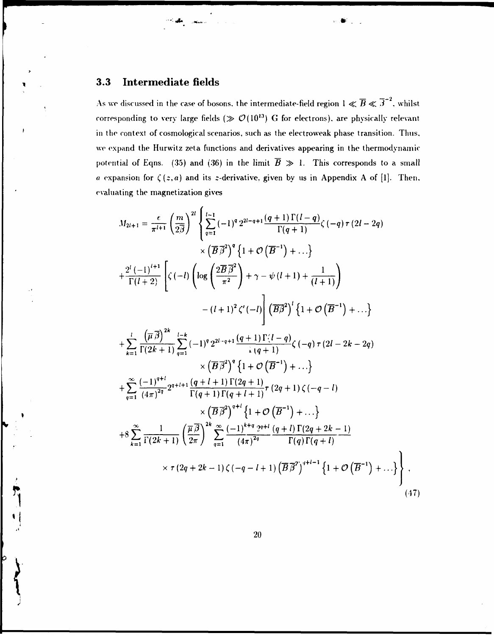## 3.3 Intermediate fields

**•-:,\*.** 

As we discussed in the case of bosons, the intermediate-field region  $1 \ll \overline{B} \ll \overline{\beta}^{-2}$ , whilst corresponding to very large fields ( $\gg \mathcal{O}(10^{13})$  G for electrons), are physically relevant in the context of cosmological scenarios, such as the electroweak phase transition. Thus, we expand the Hurwitz zeta functions and derivatives appearing in the thermodynamic potential of Eqns. (35) and (36) in the limit  $\overline{B} \gg 1$ . This corresponds to a small *a* expansion for  $\zeta(z,a)$  and its *z*-derivative, given by us in Appendix A of [1]. Then, evaluating the magnetization gives

$$
M_{2l+1} = \frac{\epsilon}{\pi^{l+1}} \left(\frac{m}{2\beta}\right)^{2l} \left\{\sum_{q=1}^{l-1} (-1)^{q} 2^{2l-q+1} \frac{(q+1)\Gamma(l-q)}{\Gamma(q+1)} \zeta(-q) \tau(2l-2q) \right.\times \left(\overline{B}\overline{\beta}^{2}\right)^{q} \left\{1+\mathcal{O}\left(\overline{B}^{-1}\right)+...\right\}+ \frac{2^{l}(-1)^{l+1}}{\Gamma(l+2)} \left[\zeta(-l) \left(\log\left(\frac{2\overline{B}\overline{\beta}^{2}}{\pi^{2}}\right)+\gamma-\psi(l+1)+\frac{1}{(l+1)}\right) \right.- (l+1)^{2} \zeta'(-l) \left(\overline{B}\overline{\beta}^{2}\right)^{l} \left\{1+\mathcal{O}\left(\overline{B}^{-1}\right)+...\right\}+ \sum_{k=1}^{l} \frac{\left(\overline{\mu}\overline{\beta}\right)^{2k}}{\Gamma(2k+1)} \sum_{q=1}^{l-k} (-1)^{q} 2^{2l-q+1} \frac{(q+1)\Gamma(l-q)}{\Gamma(q+1)} \zeta(-q) \tau(2l-2k-2q) \right.\times \left(\overline{B}\overline{\beta}^{2}\right)^{q} \left\{1+\mathcal{O}\left(\overline{B}^{-1}\right)+...\right\}+ \sum_{q=1}^{\infty} \frac{(-1)^{q+l}}{(4\pi)^{2q}} 2^{q+l+1} \frac{(q+l+1)\Gamma(2q+1)}{\Gamma(q+1)\Gamma(q+l+1)} \tau(2q+1) \zeta(-q-l) \right.+ 8 \sum_{k=1}^{\infty} \frac{1}{\Gamma(2k+1)} \left(\frac{\overline{\mu}\overline{\beta}}{2\pi}\right)^{2k} \sum_{q=1}^{\infty} \frac{(-1)^{k+q} 2^{q+l}}{(4\pi)^{2q}} \frac{(q+l)\Gamma(2q+2k-1)}{\Gamma(q)\Gamma(q+l)} + 8 \sum_{k=1}^{\infty} \frac{1}{\Gamma(2k+1)} \left(\frac{\overline{\mu}\overline{\beta}}{2\pi}\right)^{2k} \sum_{q=1}^{\infty} \frac{(-1)^{k+q} 2^{q+l}}{(4\pi)^{2q}} \
$$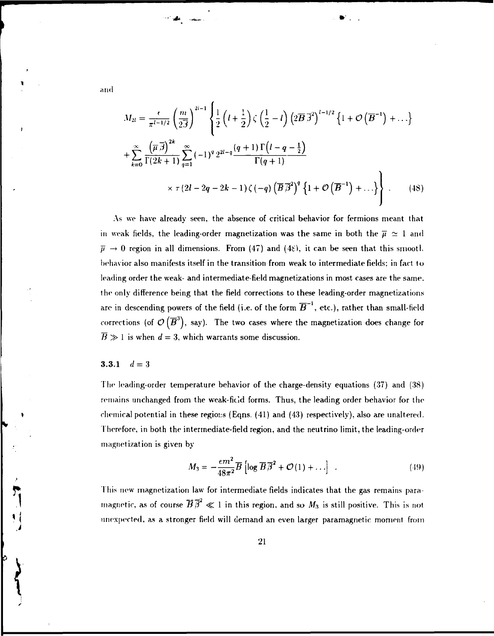$$
M_{2l} = \frac{\epsilon}{\pi^{l-1/2}} \left( \frac{m}{2\bar{J}} \right)^{2l-1} \left\{ \frac{1}{2} \left( l + \frac{1}{2} \right) \zeta \left( \frac{1}{2} - l \right) \left( 2\bar{B} \, \bar{J}^2 \right)^{l-1/2} \left\{ 1 + \mathcal{O} \left( \bar{B}^{-1} \right) + \dots \right\} + \sum_{k=0}^{\infty} \frac{\left( \overline{\mu} \, \bar{J} \right)^{2k}}{\Gamma(2k+1)} \sum_{q=1}^{\infty} \left( -1 \right)^q 2^{2l-q} \frac{\left( q+1 \right) \Gamma \left( l-q-\frac{1}{2} \right)}{\Gamma(q+1)} \times \tau \left( 2l - 2q - 2k - 1 \right) \zeta \left( -q \right) \left( \overline{B} \, \bar{\beta}^2 \right)^q \left\{ 1 + \mathcal{O} \left( \overline{B}^{-1} \right) + \dots \right\} \right\}.
$$
 (48)

As we have already seen, the absence of critical behavior for fermions meant that in weak fields, the leading-order magnetization was the same in both the  $\overline{\mu} \simeq 1$  and  $\bar{\mu} \rightarrow 0$  region in all dimensions. From (47) and (48), it can be seen that this smooth behavior also manifests itself in the transition from weak to intermediate fields; in fact to leading order the weak- and intermediate-field magnetizations in most cases are the same, the only difference being that the field corrections to these leading-order magnetizations are in descending powers of the field (i.e. of the form  $\overline{B}^{-1}$ , etc.), rather than small-field corrections (of  $\mathcal{O}(\overline{B}^3)$ , say). The two cases where the magnetization does change for  $\overline{B} \gg 1$  is when  $d = 3$ , which warrants some discussion.

### 3.3.1  $d=3$

*\* 

The leading-order temperature behavior of the charge-density equations (37) and (38) remains unchanged from the weak-field forms. Thus, the leading order behavior for the chemical potential in these regions (Eqns.  $(41)$  and  $(43)$  respectively), also are unaltered. Therefore, in both the intermediate-field region, and the neutrino limit, the leading-order magnetization is given by

$$
M_3 = -\frac{em^2}{48\pi^2} \overline{B} \left[ \log \overline{B} \overline{\beta}^2 + \mathcal{O}(1) + \ldots \right] \quad . \tag{49}
$$

This new magnetization law for intermediate fields indicates that the gas remains paramagnetic, as of course  $\overline{B}\overline{\beta}^2 \ll 1$  in this region, and so  $M_3$  is still positive. This is not unexpected, as a stronger field will demand an even larger paramagnetic moment from

and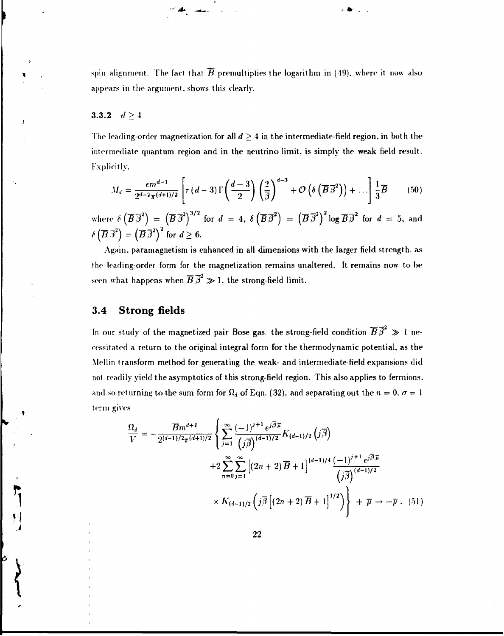spin alignment. The fact that  $\overline{B}$  premultiplies the logarithm in (49), where it now also appears in the argument, shows this clearly.

**--:,#.** *-:.* **\*'** 

### 3.3.2  $d \ge 4$

The leading-order magnetization for all  $d \geq 4$  in the intermediate-field region, in both the intermediate quantum region and in the neutrino limit, is simply the weak field result. Explicitly.

$$
M_d = \frac{em^{d-1}}{2^{d-2}\pi^{(d+1)/2}} \left[ \tau(d-3) \Gamma\left(\frac{d-3}{2}\right) \left(\frac{2}{\overline{\beta}}\right)^{d-3} + \mathcal{O}\left(\delta\left(\overline{B}\,\overline{\beta}^2\right)\right) + \ldots \right] \frac{1}{3}\overline{B} \tag{50}
$$

where  $\delta\left(\overline{B}\,\overline{\beta}^2\right) = \left(\overline{B}\,\overline{\beta}^2\right)^{5/2}$  for  $d=4, \ \delta\left(\overline{B}\,\overline{\beta}^2\right) = \left(\overline{B}\,\overline{\beta}^2\right)^2 \log \overline{B}\,\overline{\beta}^2$  for  $d=5, \text{ and } 2$  $\delta\left(\overline{B}\,\overline{\beta}^2\right) = \left(\overline{B}\,\overline{\beta}^2\right)^2$  for  $d \geq 6$ .

Again, paramagnetism is enhanced in all dimensions with the larger field strength, as the leading-order form for the magnetization remains unaltered. It remains now to be seen what happens when  $\overline{B} \overline{\beta}^2 \gg 1$ , the strong-field limit.

### **3.4 Strong fields**

 $\frac{1}{2}$ 

 $\overline{1}$ 

*\* 

þ

In our study of the magnetized pair Bose gas, the strong-field condition  $\overline{B} \overline{\beta}^2 \gg 1$  necessitated a return to the original integral form for the thermodynamic potential, as the Mellin transform method for generating the weak- and intermediate-field expansions did not readily yield the asymptotics of this strong-field region. This also applies to fermions. and so returning to the sum form for  $\Omega_d$  of Eqn. (32), and separating out the  $n = 0, \sigma = 1$ term gives

$$
\frac{\Omega_d}{V} = -\frac{\overline{B}m^{d+1}}{2^{(d-1)/2}\pi^{(d+1)/2}} \left\{ \sum_{j=1}^{\infty} \frac{(-1)^{j+1} e^{j\overline{\beta}\overline{\mu}}}{(j\overline{\beta})^{(d-1)/2}} K_{(d-1)/2} (j\overline{\beta}) + 2 \sum_{n=0}^{\infty} \sum_{j=1}^{\infty} \left[ (2n+2) \overline{B} + 1 \right]^{(d-1)/4} \frac{(-1)^{j+1} e^{j\overline{\beta}\overline{\mu}}}{(j\overline{\beta})^{(d-1)/2}} + K_{(d-1)/2} \left( j\overline{\beta} \left[ (2n+2) \overline{B} + 1 \right]^{1/2} \right) \right\} + \overline{\mu} \to -\overline{\mu} \ . \tag{51}
$$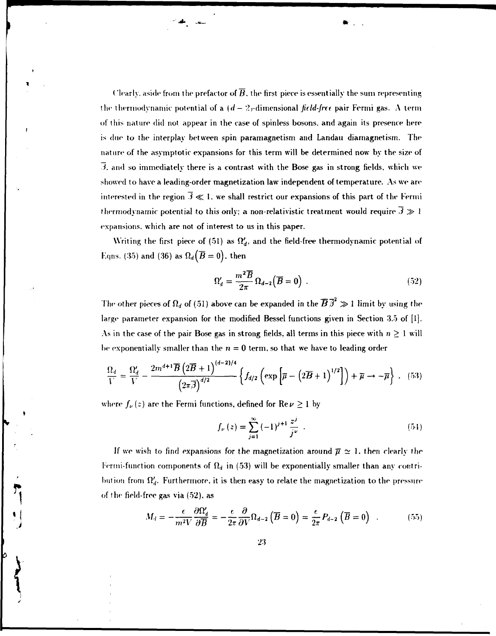Clearly, aside from the prefactor of  $\overline{B}$ , the first piece is essentially the sum representing the thermodynamic potential of a  $(d-2)<sub>r</sub>$ dimensional *field-free* pair Fermi gas. A term of this nature did not appear in the case of spinless bosons, and again its presence here is due to the interplay between spin paramagnetism and Landau diamagnetism. The nature of the asymptotic expansions for this term will be determined now by the size of *3.* and so immediately there is a contrast with the Bose gas in strong fields, which we showed to have a leading-order magnetization law independent of temperature. As we are interested in the region  $\overline{3} \ll 1$ . we shall restrict our expansions of this part of the Fermi thermodynamic potential to this only; a non-relativistic treatment would require  $\overline{3} \gg 1$ expansions, which are not of interest to us in this paper.

Writing the first piece of (51) as *Q'<sup>d</sup> ,* and the field-free thermodynamic potential of Eqns. (35) and (36) as  $\Omega_d(\overline{B} = 0)$ , then

$$
\Omega'_d = \frac{m^2 \overline{B}}{2\pi} \Omega_{d-2} (\overline{B} = 0) \ . \tag{52}
$$

The other pieces of  $\Omega_d$  of (51) above can be expanded in the  $\overline{B} \overline{\beta}^2 \gg 1$  limit by using the large parameter expansion for the modified Bessel functions given in Section 3.5 of [1]. As in the case of the pair Bose gas in strong fields, all terms in this piece with  $n \geq 1$  will be exponentially smaller than the  $n = 0$  term, so that we have to leading order

$$
\frac{\Omega_d}{V} = \frac{\Omega'_d}{V} - \frac{2m^{d+1}\overline{B}\left(2\overline{B}+1\right)^{(d-2)/4}}{\left(2\pi\overline{\beta}\right)^{d/2}} \left\{f_{d/2}\left(\exp\left[\overline{\mu}-\left(2\overline{B}+1\right)^{1/2}\right]\right) + \overline{\mu} \to -\overline{\mu}\right\} \ . \tag{53}
$$

where  $f_{\nu}(z)$  are the Fermi functions, defined for  $\text{Re}\,\nu \geq 1$  by

**• J .** 

$$
f_{\nu}(z) = \sum_{j=1}^{\infty} (-1)^{j+1} \frac{z^j}{j^{\nu}} . \tag{54}
$$

If we wish to find expansions for the magnetization around  $\bar{\mu} \simeq 1$ , then clearly the Fermi-function components of  $\Omega_d$  in (53) will be exponentially smaller than any contribution from  $\Omega_d$ . Furthermore, it is then easy to relate the magnetization to the pressure of the field-free gas via (52). as

$$
M_d = -\frac{e}{m^2 V} \frac{\partial \Omega'_d}{\partial \overline{B}} = -\frac{e}{2\pi} \frac{\partial}{\partial V} \Omega_{d-2} (\overline{B} = 0) = \frac{e}{2\pi} P_{d-2} (\overline{B} = 0) \quad . \tag{55}
$$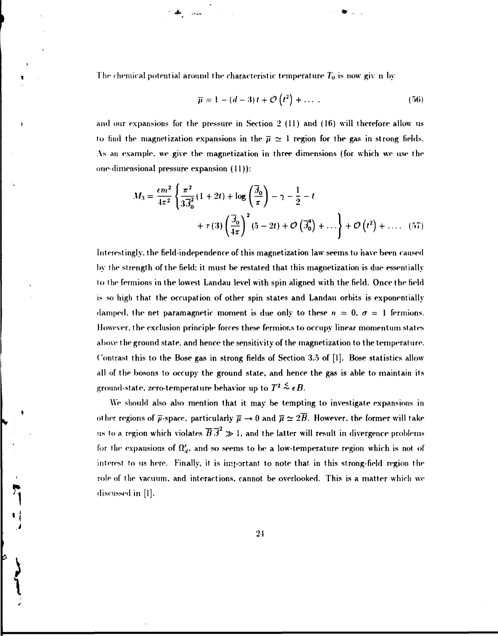The chemical potential around the characteristic temperature  $T_0$  is now givun by

' v\* .

$$
\overline{\mu} = 1 - (d - 3)t + \mathcal{O}\left(t^2\right) + \dots \tag{56}
$$

and our expansions for the pressure in Section 2 (II) and (16) will therefore allow us to find the magnetization expansions in the  $\bar{\mu} \simeq 1$  region for the gas in strong fields. As an example, we give the magnetization in three dimensions (for which we use the one-dimensional pressure expansion (11)):

$$
M_3 = \frac{\epsilon m^2}{4\pi^2} \left\{ \frac{\pi^2}{3\overline{\beta}_0^2} (1+2t) + \log\left(\frac{\overline{\beta}_0}{\pi}\right) - \gamma - \frac{1}{2} - t
$$
  
+  $\tau(3) \left(\frac{\overline{\beta}_0}{4\pi}\right)^2 (5-2t) + \mathcal{O}\left(\overline{\beta}_0^4\right) + \dots \right\} + \mathcal{O}\left(t^2\right) + \dots$  (57)

Interestingly, the field-independence of this magnetization law seems to have been caused by the strength of the field: it must be restated that this magnetization is due essentially to the fermions in the lowest Landau level with spin aligned with the field. Once the field is so high that the occupation of other spin states and Landau orbits is exponentially damped, the net paramagnetic moment is due only to these  $n = 0$ ,  $\sigma = 1$  fermions. However, the exclusion principle forces these fermior.s to occupy linear momentum states above the ground state, and hence the sensitivity of the magnetization to the temperature. Contrast this to the Bose gas in strong fields of Section 3.5 of [1]. Bose statistics allow all of the bosons to occupy the ground state, and hence the gas is able to maintain its ground-state, zero-temperature behavior up to  $T^{\textbf{2}}$   $\stackrel{<}{\sim}$   $eB.$ 

We should also also mention that it may be tempting to investigate expansions in other regions of  $\bar{\mu}$ -space, particularly  $\bar{\mu} \to 0$  and  $\bar{\mu} \simeq 2\bar{B}$ . However, the former will take us to a region which violates  $\overline{B} \overline{B}^2 \gg 1$ , and the latter will result in divergence problems for the expansions of  $\Omega_d$ , and so seems to be a low-temperature region which is not of interest to us here. Finally, it is important to note that in this strong-field region the role of the vacuum, and interactions, cannot be overlooked. This is a matter which we discussed in [I].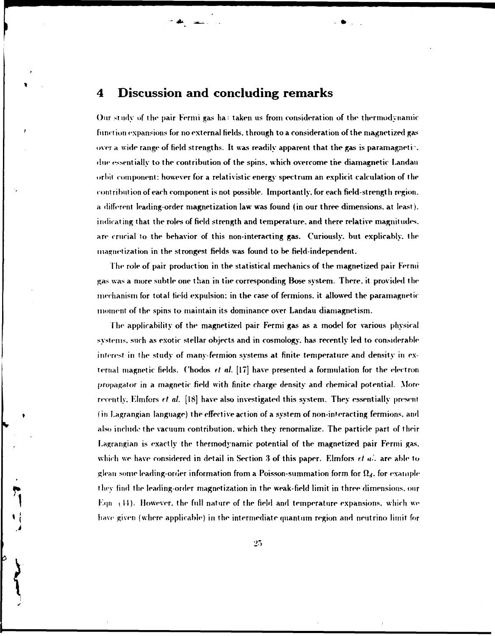## **4 Discussion and concluding remarks**

**- \*** 

Our study of the pair Fermi gas ha: taken us from consideration of the thermodynamic function expansions for no external fields, through to a consideration of the magnetized gas over a wide range of field strengths. It was readily apparent that the gas is paramagnetic due essentially to the contribution of the spins, which overcome the diamagnetic Landau orbit component: however for a relativistic energy spectrum an explicit calculation of the contribution of each component is not possible. Importantly, for each field-strength region, a different leading-order magnetization law was found (in our three dimensions, at least), indicating that the roles of field strength and temperature, and there relative magnitudes, are crucial to the behavior of this non-interacting gas. Curiously, but explicable, the magnetization in the strongest fields was found to be field-independent.

The role of pair production in the statistical mechanics of the magnetized pair Fermi gas was a more subtle one than in the corresponding Bose system. There, it provided the mechanism for total field expulsion: in the case of fermions. it allowed the paramagnetic moment of the spins to maintain its dominance over Landau diamagnetism.

The applicability of the magnetized pair Fermi gas as a model for various physical systems, such as exotic stellar objects and in cosmology, has recently led to considerable interest in the study of many-fermion systems at finite temperature and density in external magnetic fields. Chodos *rt nl.* [17] have presented a formulation for the electron propagator in a magnetic field with finite charge density and chemical potential. More recently. Elmfors *et al.* [18] have also investigated this system. They essentially present (in l.agrangian language) the effective action of a system of non-interacting fermions. and also includo the vacuum contribution, which they renormalize. The particle part of their Lagrangian is exactly the thermodynamic potential of the magnetized pair Fermi gas. which we have considered in detail in Section 3 of this paper. Elmfors *et al.* are able to glean some leading-order information from a Poisson-summation form for  $\Omega_d$ , for example they find the leading-order magnetization in the weak-field limit in three dimensions, our  $E_{\rm qn}$  (44). However, the full nature of the field and temperature expansions, which we have given (where applicable) in the intermediate quantum region and neutrino limit for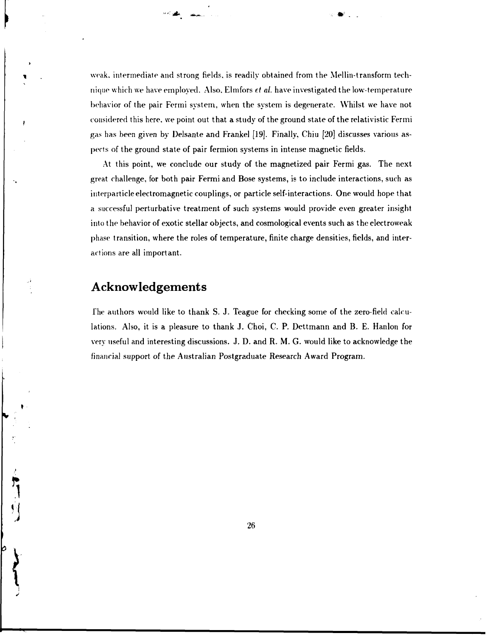weak, intermediate and strong fields, is readily obtained from the Mellin-transform technique which we have employed. Also. Elmfors *et al.* have investigated the low-temperature behavior of the pair Fermi system, when the system is degenerate. Whilst we have not considered this here, we point out that a study of the ground state of the relativistic Fermi gas has been given by Delsante and Frankel [19]. Finally, Chiu [20] discusses various aspects of the ground state of pair fermion systems in intense magnetic fields.

**""• )A .a\*\*\*...** 

At this point, we conclude our study of the magnetized pair Fermi gas. The next great challenge, for both pair Fermi and Bose systems, is to include interactions, such as interparticle electromagnetic couplings, or particle self-interactions. One would hope that a successful perturbative treatment of such systems would provide even greater insight into the behavior of exotic stellar objects, and cosmological events such as the electroweak phase transition, where the roles of temperature, finite charge densities, fields, and interactions are all important.

# **Acknowledgements**

f he authors would like to thank S. J. Teague for checking some of the zero-field calculations. Also, it is a pleasure to thank J. Choi, C. P. Dettmann and B. E. Hanlon for very useful and interesting discussions. J. D. and R. M. G. would like to acknowledge the financial support of the Australian Postgraduate Research Award Program.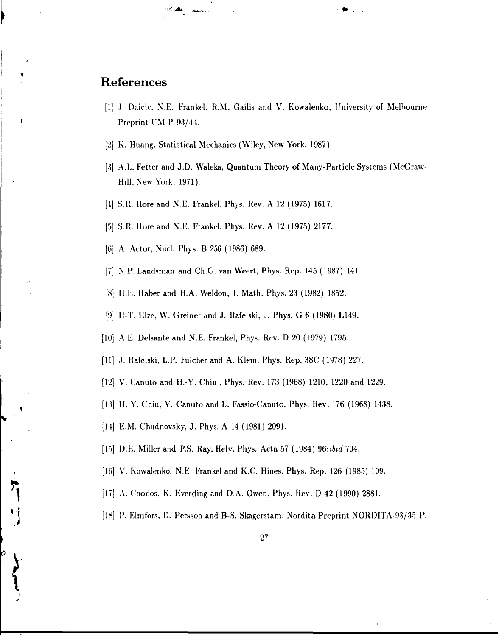# **References**

[1] J. Daicic. N.E. Frankel, R.M. Gailis and V. Kowalenko, University of Melbourne Preprint UM-P-93/44.

**.: »** 

- [2] K. Huang, Statistical Mechanics (Wiley, New York, 1987).
- [3] A.L. Fetter and J.D. Waleka, Quantum Theory of Many-Particle Systems (McGraw-Hill, New York, 1971).
- [4] S.R. Hore and N.E. Frankel, Ph,s. Rev. A 12 (1975) 1617.
- [5] S.R. Hore and N.E. Frankel, Phys. Rev. A 12 (1975) 2177.
- [6] A. Actor, Nucl. Phys. B 256 (1986) 689.

"•'\*• \* jafca..

- [7] N.P. Landsman and Ch.G. van Weert, Phys. Rep. 145 (1987) 141.
- [8] H.E. Haber and H.A. Weldon, J. Math. Phys. 23 (1982) 1852.
- [9] H-T. Elze, W. Greiner and J. Rafelski, J. Phys. G 6 (1980) L149.
- [10] A.E. Delsante and N.E. Frankel, Phys. Rev. D 20 (1979) 1795.
- [11] J. Rafelski, L.P. Fulcher and A. Klein, Phys. Rep. 38C (1978) 227.
- [12] V. Canuto and H.-Y. Chiu, Phys. Rev. 173 (1968) 1210, 1220 and 1229.
- [13] H.-Y. Chiu, V. Canuto and L. Fassio-Canuto, Phys. Rev. 176 (1968) 1438.
- [14] E.M. Chudnovsky, J. Phys. A 14 (1981) 2091.
- [15] D.E. Miller and P.S. Ray, Helv. Phys. Acta 57 (1984) 96;*ibid* 704.
- [16] V. Kowalenko, N.E. Frankel and K.C. Hines, Phys. Rep. 126 (1985) 109.
- [17] A. Chodos, K. Everding and D.A. Owen, Phys. Rev. D 42 (1990) 2881.
- [18] P. Elmfors, D. Persson and B-S. Skagerstam, Nordita Preprint NORDITA-93/35 P.